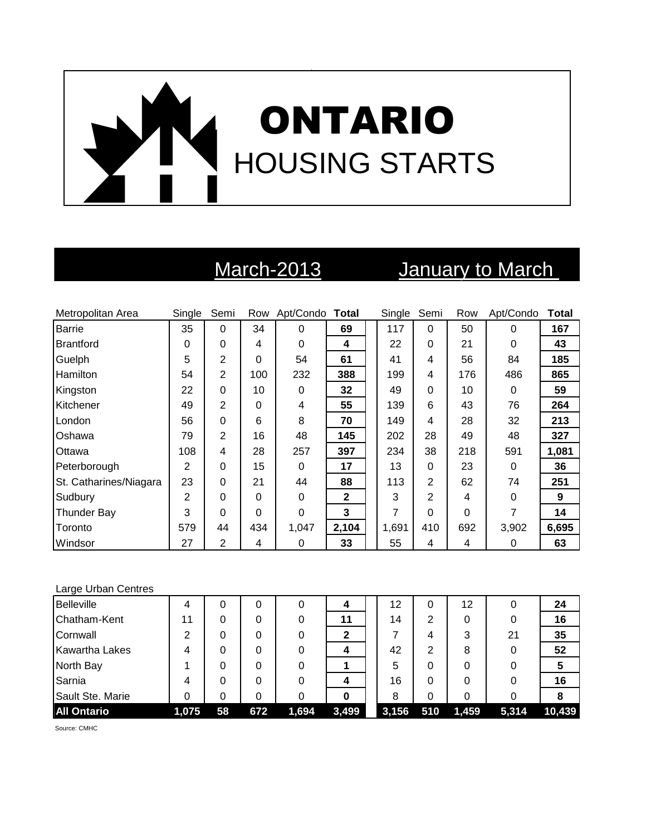

# March-2013 **January to March**

| Metropolitan Area      | Single         | Semi           |     | Row Apt/Condo Total |              | Single | Semi           | Row      | Apt/Condo | <b>Total</b> |
|------------------------|----------------|----------------|-----|---------------------|--------------|--------|----------------|----------|-----------|--------------|
| <b>Barrie</b>          | 35             | 0              | 34  | 0                   | 69           | 117    | $\Omega$       | 50       | $\Omega$  | 167          |
| <b>Brantford</b>       | 0              | 0              | 4   | 0                   | 4            | 22     | $\Omega$       | 21       | $\Omega$  | 43           |
| Guelph                 | 5              | 2              | 0   | 54                  | 61           | 41     | 4              | 56       | 84        | 185          |
| Hamilton               | 54             | $\overline{2}$ | 100 | 232                 | 388          | 199    | 4              | 176      | 486       | 865          |
| Kingston               | 22             | 0              | 10  | 0                   | 32           | 49     | $\Omega$       | 10       | 0         | 59           |
| Kitchener              | 49             | 2              | 0   | 4                   | 55           | 139    | 6              | 43       | 76        | 264          |
| London                 | 56             | 0              | 6   | 8                   | 70           | 149    | 4              | 28       | 32        | 213          |
| Oshawa                 | 79             | 2              | 16  | 48                  | 145          | 202    | 28             | 49       | 48        | 327          |
| Ottawa                 | 108            | 4              | 28  | 257                 | 397          | 234    | 38             | 218      | 591       | 1,081        |
| Peterborough           | $\overline{2}$ | 0              | 15  | 0                   | 17           | 13     | $\Omega$       | 23       | $\Omega$  | 36           |
| St. Catharines/Niagara | 23             | 0              | 21  | 44                  | 88           | 113    | $\overline{2}$ | 62       | 74        | 251          |
| Sudbury                | $\overline{2}$ | 0              | 0   | 0                   | $\mathbf{2}$ | 3      | $\mathbf{2}$   | 4        | $\Omega$  | 9            |
| Thunder Bay            | 3              | 0              | 0   | 0                   | 3            | 7      | 0              | $\Omega$ | 7         | 14           |
| Toronto                | 579            | 44             | 434 | 1,047               | 2,104        | 1,691  | 410            | 692      | 3,902     | 6,695        |
| Windsor                | 27             | 2              | 4   | 0                   | 33           | 55     | 4              | 4        | 0         | 63           |

### Large Urban Centres

| <b>Belleville</b>     | 4     | 0  | 0   | O     | 4     | 12    | 0   | 12    |       | 24     |
|-----------------------|-------|----|-----|-------|-------|-------|-----|-------|-------|--------|
| Chatham-Kent          | 11    | 0  | 0   | 0     | 11    | 14    | 2   | 0     |       | 16     |
| Cornwall              | ⌒     |    |     | 0     |       |       | 4   | 3     | 21    | 35     |
| <b>Kawartha Lakes</b> |       |    | 0   | 0     |       | 42    | 2   | 8     |       | 52     |
| North Bay             |       | 0  | 0   | 0     |       | 5     | 0   | 0     |       | 5      |
| Sarnia                | 4     | 0  | 0   |       | 4     | 16    | 0   | 0     |       | 16     |
| Sault Ste. Marie      |       | ი  | 0   |       |       | 8     | 0   | 0     |       |        |
| <b>All Ontario</b>    | 1,075 | 58 | 672 | 1,694 | 3,499 | 3,156 | 510 | 1,459 | 5,314 | 10,439 |

Source: CMHC